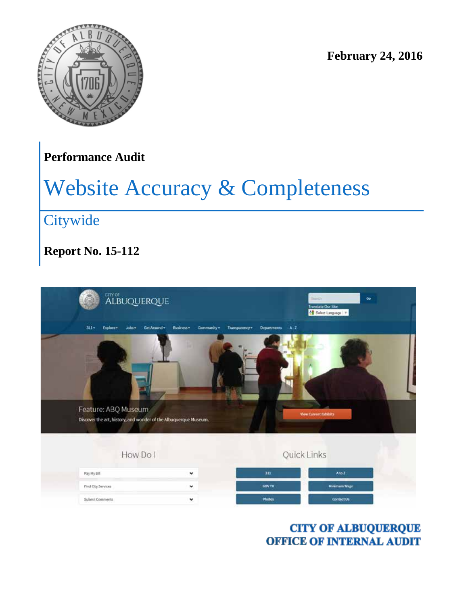

**February 24, 2016**

## **Performance Audit**

# Website Accuracy & Completeness

# **Citywide**

## **Report No. 15-112**

| <b>ALBUQUERQUE</b>                                                                      |                                           |                                           | $\infty$<br><b>Silings</b><br>Translate Our Site:<br>Salect Language   T |  |
|-----------------------------------------------------------------------------------------|-------------------------------------------|-------------------------------------------|--------------------------------------------------------------------------|--|
| $311 -$<br>Explore .<br>Jobs v.                                                         | Business .<br>Get Around +<br>Community + | $A - Z$<br>Transparency ><br>Departments. |                                                                          |  |
| Feature: ABQ Museum<br>Discover the art, history, and wonder of the Albuquerque Museum. |                                           |                                           | <b>View Current Fabibits</b>                                             |  |
|                                                                                         | How Do I                                  |                                           | Quick Links                                                              |  |
| Pay My Bill                                                                             | v                                         | 3II                                       | Ato Z                                                                    |  |
| Find City Services                                                                      | ۰                                         | <b>GOVTV</b>                              | <b>Minimum Wage</b>                                                      |  |
| Submit Comments                                                                         | ۷                                         | Photos                                    | Contact Us                                                               |  |

**CITY OF ALBUQUERQUE OFFICE OF INTERNAL AUDIT**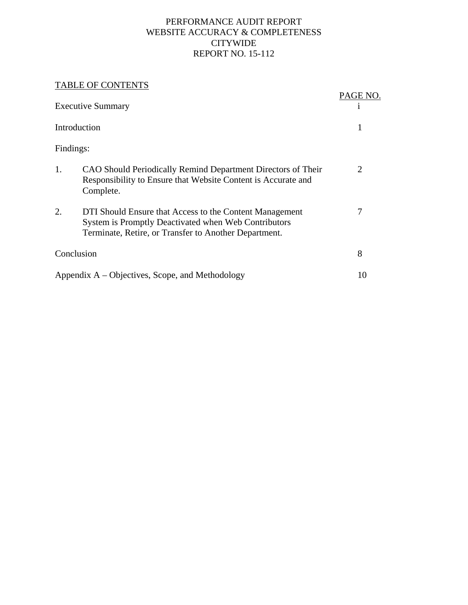#### PERFORMANCE AUDIT REPORT WEBSITE ACCURACY & COMPLETENESS CITYWIDE REPORT NO. 15-112

#### TABLE OF CONTENTS

|            | TADLE OF CONTENTS                                                                                                                                                        | PAGE NO. |
|------------|--------------------------------------------------------------------------------------------------------------------------------------------------------------------------|----------|
|            | <b>Executive Summary</b>                                                                                                                                                 |          |
|            | Introduction                                                                                                                                                             | 1        |
| Findings:  |                                                                                                                                                                          |          |
| 1.         | CAO Should Periodically Remind Department Directors of Their<br>Responsibility to Ensure that Website Content is Accurate and<br>Complete.                               | 2        |
| 2.         | DTI Should Ensure that Access to the Content Management<br>System is Promptly Deactivated when Web Contributors<br>Terminate, Retire, or Transfer to Another Department. | 7        |
| Conclusion |                                                                                                                                                                          | 8        |
|            | Appendix $A - Objectives$ , Scope, and Methodology                                                                                                                       | 10       |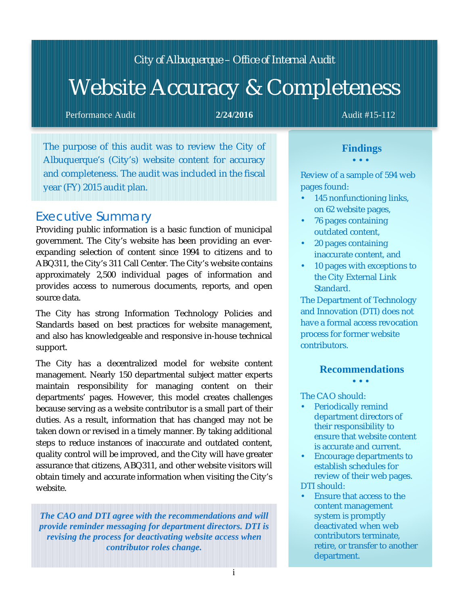## *City of Albuquerque – Office of Internal Audit*

# Website Accuracy & Completeness

Performance Audit **2/24/2016 Audit #15-112 Audit #15-112** 

The purpose of this audit was to review the City of Albuquerque's (City's) website content for accuracy and completeness. The audit was included in the fiscal year (FY) 2015 audit plan.

## *Executive Summary*

Providing public information is a basic function of municipal government. The City's website has been providing an everexpanding selection of content since 1994 to citizens and to ABQ311, the City's 311 Call Center. The City's website contains approximately 2,500 individual pages of information and provides access to numerous documents, reports, and open source data.

The City has strong Information Technology Policies and Standards based on best practices for website management, and also has knowledgeable and responsive in-house technical support.

The City has a decentralized model for website content management. Nearly 150 departmental subject matter experts maintain responsibility for managing content on their departments' pages. However, this model creates challenges because serving as a website contributor is a small part of their duties. As a result, information that has changed may not be taken down or revised in a timely manner. By taking additional steps to reduce instances of inaccurate and outdated content, quality control will be improved, and the City will have greater assurance that citizens, ABQ311, and other website visitors will obtain timely and accurate information when visiting the City's website.

*The CAO and DTI agree with the recommendations and will provide reminder messaging for department directors. DTI is revising the process for deactivating website access when contributor roles change.*

### **Findings**

Review of a sample of 594 web pages found:

- a, 145 nonfunctioning links, on 62 website pages,
- 76 pages containing outdated content,
- 20 pages containing inaccurate content, and
- 10 pages with exceptions to the City External Link Standard.

The Department of Technology and Innovation (DTI) does not have a formal access revocation process for former website contributors.

#### **Recommendations**

The CAO should:

- Periodically remind department directors of their responsibility to ensure that website content is accurate and current.
- Encourage departments to ¥. establish schedules for review of their web pages. DTI should:
- Ensure that access to the V. content management system is promptly deactivated when web contributors terminate, retire, or transfer to another department.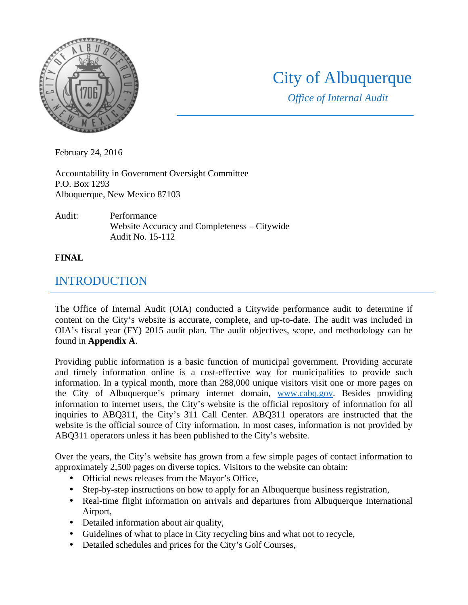

# City of Albuquerque

*Office of Internal Audit*

February 24, 2016

Accountability in Government Oversight Committee P.O. Box 1293 Albuquerque, New Mexico 87103

Audit: Performance Website Accuracy and Completeness – Citywide Audit No. 15-112

#### **FINAL**

## INTRODUCTION

The Office of Internal Audit (OIA) conducted a Citywide performance audit to determine if content on the City's website is accurate, complete, and up-to-date. The audit was included in OIA's fiscal year (FY) 2015 audit plan. The audit objectives, scope, and methodology can be found in **Appendix A**.

Providing public information is a basic function of municipal government. Providing accurate and timely information online is a cost-effective way for municipalities to provide such information. In a typical month, more than 288,000 unique visitors visit one or more pages on the City of Albuquerque's primary internet domain, www.cabq.gov. Besides providing information to internet users, the City's website is the official repository of information for all inquiries to ABQ311, the City's 311 Call Center. ABQ311 operators are instructed that the website is the official source of City information. In most cases, information is not provided by ABQ311 operators unless it has been published to the City's website.

Over the years, the City's website has grown from a few simple pages of contact information to approximately 2,500 pages on diverse topics. Visitors to the website can obtain:

- Official news releases from the Mayor's Office,
- Step-by-step instructions on how to apply for an Albuquerque business registration,  $\mathbf{r}$
- Real-time flight information on arrivals and departures from Albuquerque International k. Airport,
- Detailed information about air quality,
- Guidelines of what to place in City recycling bins and what not to recycle,
- Detailed schedules and prices for the City's Golf Courses,  $\mathbf{r}^{\prime}$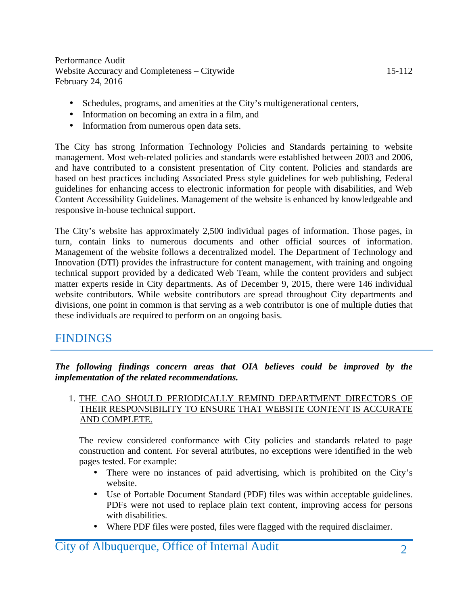- Schedules, programs, and amenities at the City's multigenerational centers,
- Information on becoming an extra in a film, and
- $\mathbf{r} = \mathbf{r}$ Information from numerous open data sets.

The City has strong Information Technology Policies and Standards pertaining to website management. Most web-related policies and standards were established between 2003 and 2006, and have contributed to a consistent presentation of City content. Policies and standards are based on best practices including Associated Press style guidelines for web publishing, Federal guidelines for enhancing access to electronic information for people with disabilities, and Web Content Accessibility Guidelines. Management of the website is enhanced by knowledgeable and responsive in-house technical support.

The City's website has approximately 2,500 individual pages of information. Those pages, in turn, contain links to numerous documents and other official sources of information. Management of the website follows a decentralized model. The Department of Technology and Innovation (DTI) provides the infrastructure for content management, with training and ongoing technical support provided by a dedicated Web Team, while the content providers and subject matter experts reside in City departments. As of December 9, 2015, there were 146 individual website contributors. While website contributors are spread throughout City departments and divisions, one point in common is that serving as a web contributor is one of multiple duties that these individuals are required to perform on an ongoing basis.

## FINDINGS

*The following findings concern areas that OIA believes could be improved by the implementation of the related recommendations.*

#### 1. THE CAO SHOULD PERIODICALLY REMIND DEPARTMENT DIRECTORS OF THEIR RESPONSIBILITY TO ENSURE THAT WEBSITE CONTENT IS ACCURATE AND COMPLETE.

The review considered conformance with City policies and standards related to page construction and content. For several attributes, no exceptions were identified in the web pages tested. For example:

- There were no instances of paid advertising, which is prohibited on the City's  $\mathbf{r}^{\prime}$ website.
- Use of Portable Document Standard (PDF) files was within acceptable guidelines. PDFs were not used to replace plain text content, improving access for persons with disabilities.
- Where PDF files were posted, files were flagged with the required disclaimer.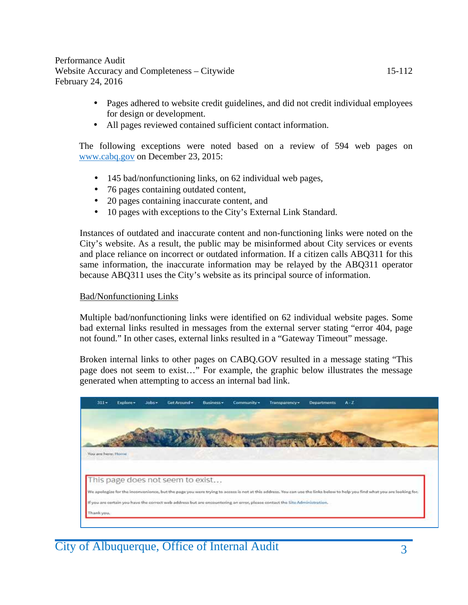- Pages adhered to website credit guidelines, and did not credit individual employees for design or development.
- All pages reviewed contained sufficient contact information.

The following exceptions were noted based on a review of 594 web pages on www.cabq.gov on December 23, 2015:

- 145 bad/nonfunctioning links, on 62 individual web pages,
- 76 pages containing outdated content,  $\mathbf{r}$
- 20 pages containing inaccurate content, and
- 10 pages with exceptions to the City's External Link Standard. ä,

Instances of outdated and inaccurate content and non-functioning links were noted on the City's website. As a result, the public may be misinformed about City services or events and place reliance on incorrect or outdated information. If a citizen calls ABQ311 for this same information, the inaccurate information may be relayed by the ABQ311 operator because ABQ311 uses the City's website as its principal source of information.

#### Bad/Nonfunctioning Links

Multiple bad/nonfunctioning links were identified on 62 individual website pages. Some bad external links resulted in messages from the external server stating "error 404, page not found." In other cases, external links resulted in a "Gateway Timeout" message.

Broken internal links to other pages on CABQ.GOV resulted in a message stating "This page does not seem to exist…" For example, the graphic below illustrates the message generated when attempting to access an internal bad link.

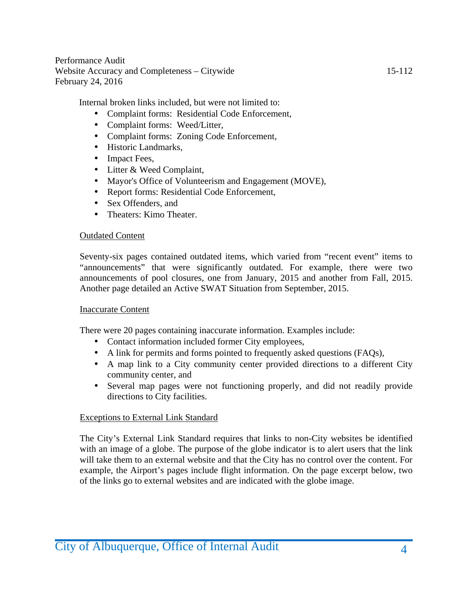Internal broken links included, but were not limited to:

- Complaint forms: Residential Code Enforcement,
- Complaint forms: Weed/Litter,  $\mathbf{r}^{\mathrm{max}}$
- Complaint forms: Zoning Code Enforcement,
- Historic Landmarks,
- Impact Fees,
- Litter & Weed Complaint,
- Mayor's Office of Volunteerism and Engagement (MOVE),
- Report forms: Residential Code Enforcement,  $\mathbf{r}$
- Sex Offenders, and  $\mathbf{r}$
- Theaters: Kimo Theater.  $\mathbf{r}$  .

#### Outdated Content

Seventy-six pages contained outdated items, which varied from "recent event" items to "announcements" that were significantly outdated. For example, there were two announcements of pool closures, one from January, 2015 and another from Fall, 2015. Another page detailed an Active SWAT Situation from September, 2015.

#### Inaccurate Content

There were 20 pages containing inaccurate information. Examples include:

- Contact information included former City employees,
- A link for permits and forms pointed to frequently asked questions (FAQs),
- A map link to a City community center provided directions to a different City community center, and
- Several map pages were not functioning properly, and did not readily provide directions to City facilities.

#### Exceptions to External Link Standard

The City's External Link Standard requires that links to non-City websites be identified with an image of a globe. The purpose of the globe indicator is to alert users that the link will take them to an external website and that the City has no control over the content. For example, the Airport's pages include flight information. On the page excerpt below, two of the links go to external websites and are indicated with the globe image.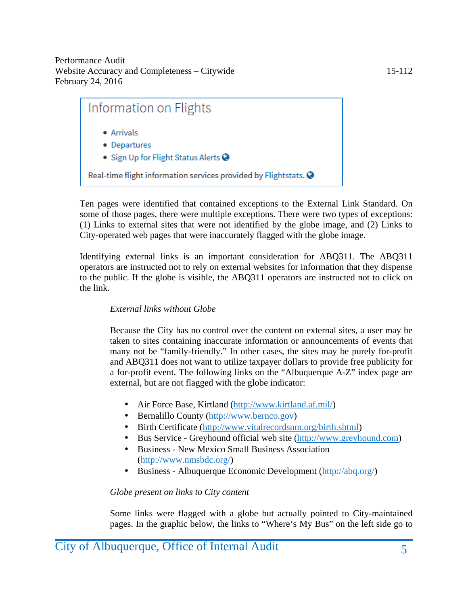

Ten pages were identified that contained exceptions to the External Link Standard. On some of those pages, there were multiple exceptions. There were two types of exceptions: (1) Links to external sites that were not identified by the globe image, and (2) Links to City-operated web pages that were inaccurately flagged with the globe image.

Identifying external links is an important consideration for ABQ311. The ABQ311 operators are instructed not to rely on external websites for information that they dispense to the public. If the globe is visible, the ABQ311 operators are instructed not to click on the link.

#### *External links without Globe*

Because the City has no control over the content on external sites, a user may be taken to sites containing inaccurate information or announcements of events that many not be "family-friendly." In other cases, the sites may be purely for-profit and ABQ311 does not want to utilize taxpayer dollars to provide free publicity for a for-profit event. The following links on the "Albuquerque A-Z" index page are external, but are not flagged with the globe indicator:

- Air Force Base, Kirtland (http://www.kirtland.af.mil/)
- Bernalillo County (http://www.bernco.gov)  $\mathbf{r}$
- Birth Certificate (http://www.vitalrecordsnm.org/birth.shtml)
- Bus Service Greyhound official web site (http://www.greyhound.com)
- Business New Mexico Small Business Association (http://www.nmsbdc.org/)
- Business Albuquerque Economic Development (http://abq.org/)

#### *Globe present on links to City content*

Some links were flagged with a globe but actually pointed to City-maintained pages. In the graphic below, the links to "Where's My Bus" on the left side go to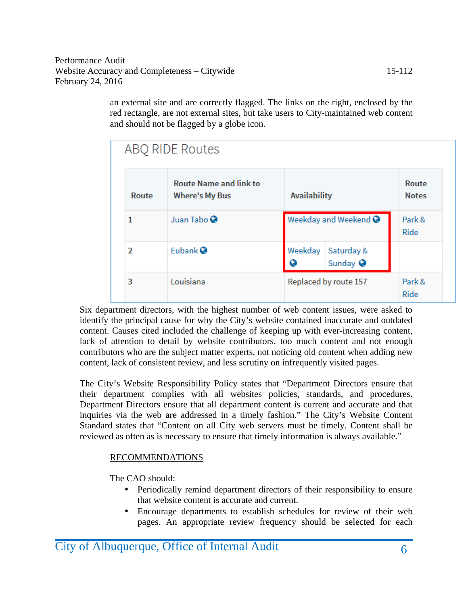an external site and are correctly flagged. The links on the right, enclosed by the red rectangle, are not external sites, but take users to City-maintained web content and should not be flagged by a globe icon.

|       | ABQ RIDE Routes                                        |              |                                   |  |
|-------|--------------------------------------------------------|--------------|-----------------------------------|--|
| Route | <b>Route Name and link to</b><br><b>Where's My Bus</b> |              | <b>Availability</b>               |  |
| 1     | Juan Tabo <sup>O</sup>                                 |              | Weekday and Weekend $\bullet$     |  |
| 2     | Eubank <sup>Q</sup>                                    | Weekday<br>Q | Saturday &<br>Sunday <sup>O</sup> |  |
| 3     | Louisiana                                              |              | Replaced by route 157             |  |

Six department directors, with the highest number of web content issues, were asked to identify the principal cause for why the City's website contained inaccurate and outdated content. Causes cited included the challenge of keeping up with ever-increasing content, lack of attention to detail by website contributors, too much content and not enough contributors who are the subject matter experts, not noticing old content when adding new content, lack of consistent review, and less scrutiny on infrequently visited pages.

The City's Website Responsibility Policy states that "Department Directors ensure that their department complies with all websites policies, standards, and procedures. Department Directors ensure that all department content is current and accurate and that inquiries via the web are addressed in a timely fashion." The City's Website Content Standard states that "Content on all City web servers must be timely. Content shall be reviewed as often as is necessary to ensure that timely information is always available."

#### RECOMMENDATIONS

The CAO should:

- Periodically remind department directors of their responsibility to ensure that website content is accurate and current.
- Encourage departments to establish schedules for review of their web  $\mathbf{r}^{(1)}$ pages. An appropriate review frequency should be selected for each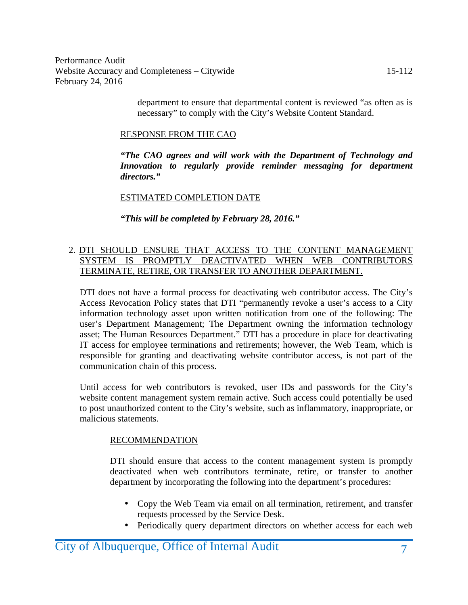> department to ensure that departmental content is reviewed "as often as is necessary" to comply with the City's Website Content Standard.

#### RESPONSE FROM THE CAO

*"The CAO agrees and will work with the Department of Technology and Innovation to regularly provide reminder messaging for department directors."*

#### ESTIMATED COMPLETION DATE

*"This will be completed by February 28, 2016."*

#### 2. DTI SHOULD ENSURE THAT ACCESS TO THE CONTENT MANAGEMENT SYSTEM IS PROMPTLY DEACTIVATED WHEN WEB CONTRIBUTORS TERMINATE, RETIRE, OR TRANSFER TO ANOTHER DEPARTMENT.

DTI does not have a formal process for deactivating web contributor access. The City's Access Revocation Policy states that DTI "permanently revoke a user's access to a City information technology asset upon written notification from one of the following: The user's Department Management; The Department owning the information technology asset; The Human Resources Department." DTI has a procedure in place for deactivating IT access for employee terminations and retirements; however, the Web Team, which is responsible for granting and deactivating website contributor access, is not part of the communication chain of this process.

Until access for web contributors is revoked, user IDs and passwords for the City's website content management system remain active. Such access could potentially be used to post unauthorized content to the City's website, such as inflammatory, inappropriate, or malicious statements.

#### RECOMMENDATION

DTI should ensure that access to the content management system is promptly deactivated when web contributors terminate, retire, or transfer to another department by incorporating the following into the department's procedures:

- Copy the Web Team via email on all termination, retirement, and transfer requests processed by the Service Desk.
- Periodically query department directors on whether access for each web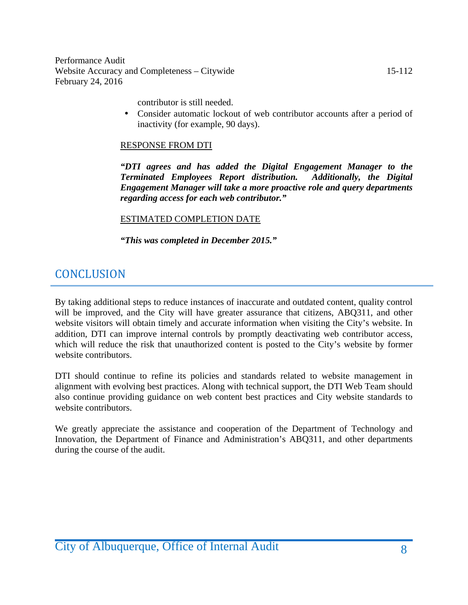contributor is still needed.

Consider automatic lockout of web contributor accounts after a period of inactivity (for example, 90 days).

#### RESPONSE FROM DTI

*"DTI agrees and has added the Digital Engagement Manager to the Terminated Employees Report distribution. Engagement Manager will take a more proactive role and query departments regarding access for each web contributor."*

#### ESTIMATED COMPLETION DATE

*"This was completed in December 2015."*

## **CONCLUSION**

By taking additional steps to reduce instances of inaccurate and outdated content, quality control will be improved, and the City will have greater assurance that citizens, ABQ311, and other website visitors will obtain timely and accurate information when visiting the City's website. In addition, DTI can improve internal controls by promptly deactivating web contributor access, which will reduce the risk that unauthorized content is posted to the City's website by former website contributors.

DTI should continue to refine its policies and standards related to website management in alignment with evolving best practices. Along with technical support, the DTI Web Team should also continue providing guidance on web content best practices and City website standards to website contributors.

We greatly appreciate the assistance and cooperation of the Department of Technology and Innovation, the Department of Finance and Administration's ABQ311, and other departments during the course of the audit.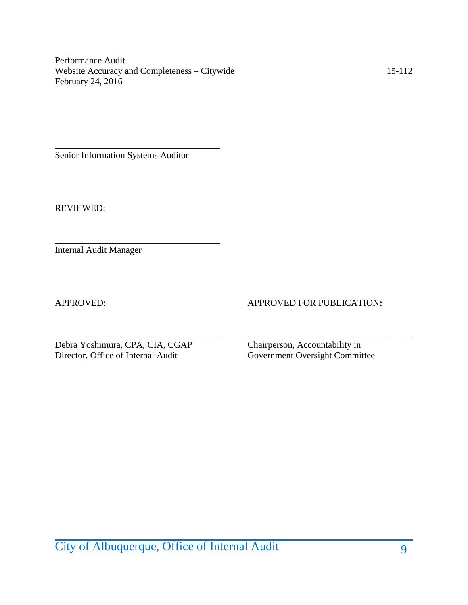\_\_\_\_\_\_\_\_\_\_\_\_\_\_\_\_\_\_\_\_\_\_\_\_\_\_\_\_\_\_\_\_\_\_\_\_ Senior Information Systems Auditor

\_\_\_\_\_\_\_\_\_\_\_\_\_\_\_\_\_\_\_\_\_\_\_\_\_\_\_\_\_\_\_\_\_\_\_\_

REVIEWED:

Internal Audit Manager

APPROVED: APPROVED FOR PUBLICATION:

\_\_\_\_\_\_\_\_\_\_\_\_\_\_\_\_\_\_\_\_\_\_\_\_\_\_\_\_\_\_\_\_\_\_\_\_ \_\_\_\_\_\_\_\_\_\_\_\_\_\_\_\_\_\_\_\_\_\_\_\_\_\_\_\_\_\_\_\_\_\_\_\_ Debra Yoshimura, CPA, CIA, CGAP Chairperson, Accountability in Director, Office of Internal Audit Government Oversight Commit

Government Oversight Committee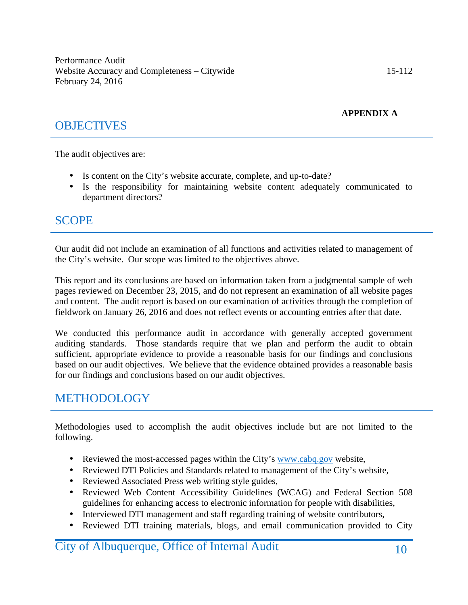#### **APPENDIX A**

## **OBJECTIVES**

The audit objectives are:

- Is content on the City's website accurate, complete, and up-to-date?
- Is the responsibility for maintaining website content adequately communicated to department directors?

### SCOPE

Our audit did not include an examination of all functions and activities related to management of the City's website. Our scope was limited to the objectives above.

This report and its conclusions are based on information taken from a judgmental sample of web pages reviewed on December 23, 2015, and do not represent an examination of all website pages and content. The audit report is based on our examination of activities through the completion of fieldwork on January 26, 2016 and does not reflect events or accounting entries after that date.

We conducted this performance audit in accordance with generally accepted government auditing standards. Those standards require that we plan and perform the audit to obtain sufficient, appropriate evidence to provide a reasonable basis for our findings and conclusions based on our audit objectives. We believe that the evidence obtained provides a reasonable basis for our findings and conclusions based on our audit objectives.

## METHODOLOGY

Methodologies used to accomplish the audit objectives include but are not limited to the following.

- Reviewed the most-accessed pages within the City's www.cabq.gov website,
- Reviewed DTI Policies and Standards related to management of the City's website,
- Reviewed Associated Press web writing style guides,  $\mathbf{r}$
- Reviewed Web Content Accessibility Guidelines (WCAG) and Federal Section 508 guidelines for enhancing access to electronic information for people with disabilities,
- Interviewed DTI management and staff regarding training of website contributors,
- Reviewed DTI training materials, blogs, and email communication provided to City